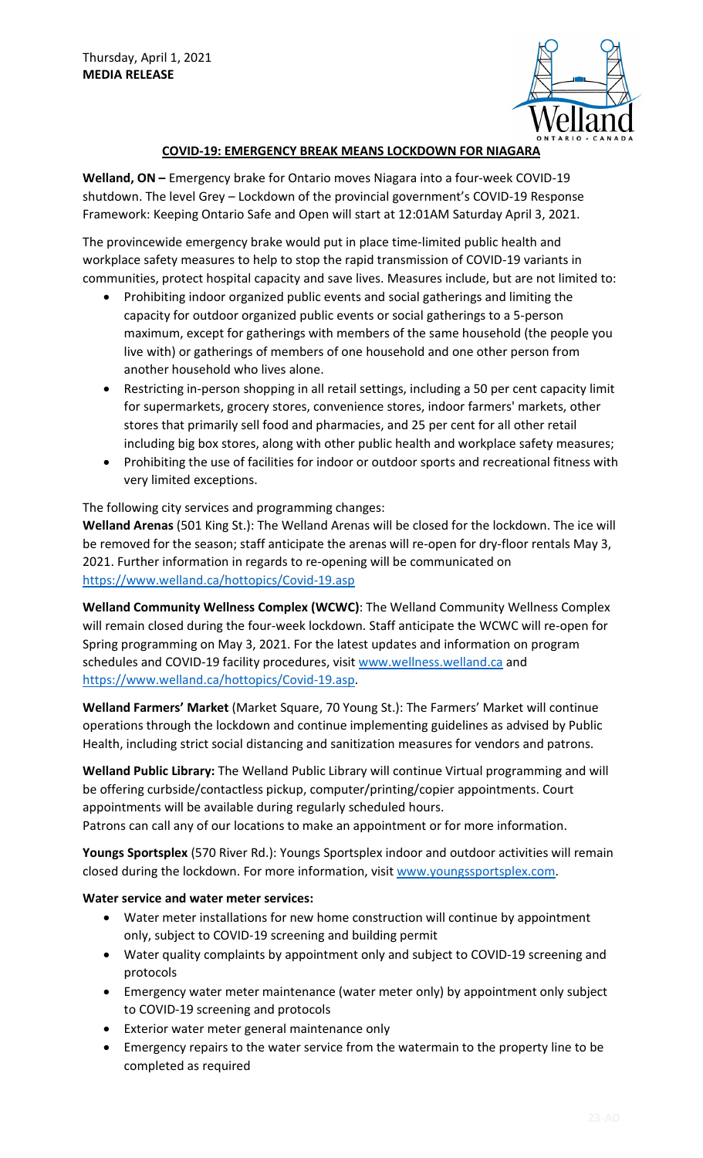

## **COVID-19: EMERGENCY BREAK MEANS LOCKDOWN FOR NIAGARA**

**Welland, ON –** Emergency brake for Ontario moves Niagara into a four-week COVID-19 shutdown. The level Grey – Lockdown of the provincial government's COVID-19 Response Framework: Keeping Ontario Safe and Open will start at 12:01AM Saturday April 3, 2021.

The provincewide emergency brake would put in place time-limited public health and workplace safety measures to help to stop the rapid transmission of COVID-19 variants in communities, protect hospital capacity and save lives. Measures include, but are not limited to:

- Prohibiting indoor organized public events and social gatherings and limiting the capacity for outdoor organized public events or social gatherings to a 5-person maximum, except for gatherings with members of the same household (the people you live with) or gatherings of members of one household and one other person from another household who lives alone.
- Restricting in-person shopping in all retail settings, including a 50 per cent capacity limit for supermarkets, grocery stores, convenience stores, indoor farmers' markets, other stores that primarily sell food and pharmacies, and 25 per cent for all other retail including big box stores, along with other public health and workplace safety measures;
- Prohibiting the use of facilities for indoor or outdoor sports and recreational fitness with very limited exceptions.

## The following city services and programming changes:

**Welland Arenas** (501 King St.): The Welland Arenas will be closed for the lockdown. The ice will be removed for the season; staff anticipate the arenas will re-open for dry-floor rentals May 3, 2021. Further information in regards to re-opening will be communicated on https://www.welland.ca/hottopics/Covid-19.asp

**Welland Community Wellness Complex (WCWC)**: The Welland Community Wellness Complex will remain closed during the four-week lockdown. Staff anticipate the WCWC will re-open for Spring programming on May 3, 2021. For the latest updates and information on program schedules and COVID-19 facility procedures, visit [www.wellness.welland.ca](http://wellness.welland.ca/) and https://www.welland.ca/hottopics/Covid-19.asp.

**Welland Farmers' Market** (Market Square, 70 Young St.): The Farmers' Market will continue operations through the lockdown and continue implementing guidelines as advised by Public Health, including strict social distancing and sanitization measures for vendors and patrons.

**Welland Public Library:** The Welland Public Library will continue Virtual programming and will be offering curbside/contactless pickup, computer/printing/copier appointments. Court appointments will be available during regularly scheduled hours. Patrons can call any of our locations to make an appointment or for more information.

**Youngs Sportsplex** (570 River Rd.): Youngs Sportsplex indoor and outdoor activities will remain closed during the lockdown. For more information, visit [www.youngssportsplex.com.](http://www.youngssportsplex.com/)

## **Water service and water meter services:**

- Water meter installations for new home construction will continue by appointment only, subject to COVID-19 screening and building permit
- Water quality complaints by appointment only and subject to COVID-19 screening and protocols
- Emergency water meter maintenance (water meter only) by appointment only subject to COVID-19 screening and protocols
- Exterior water meter general maintenance only
- Emergency repairs to the water service from the watermain to the property line to be completed as required